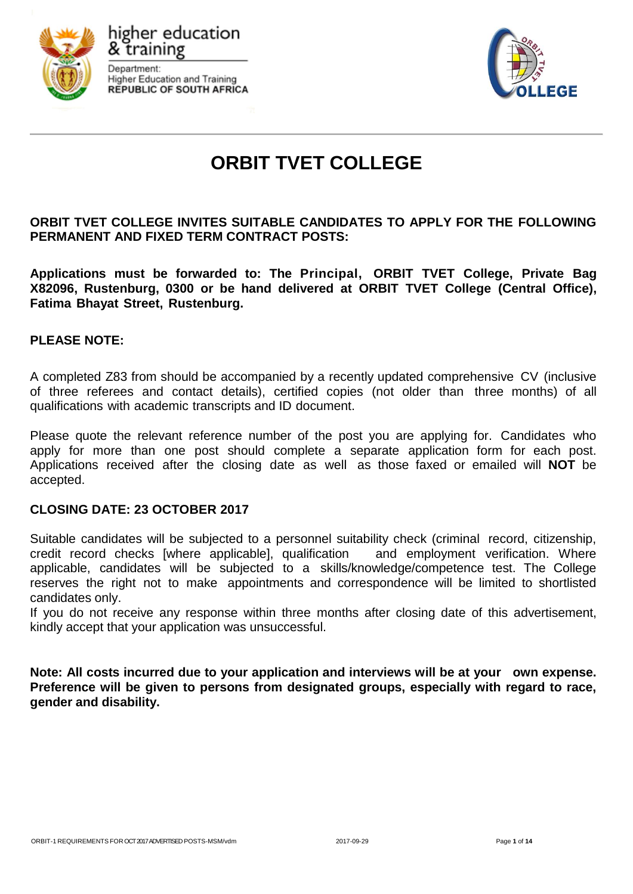





# **ORBIT TVET COLLEGE**

**ORBIT TVET COLLEGE INVITES SUITABLE CANDIDATES TO APPLY FOR THE FOLLOWING PERMANENT AND FIXED TERM CONTRACT POSTS:**

**Applications must be forwarded to: The Principal, ORBIT TVET College, Private Bag X82096, Rustenburg, 0300 or be hand delivered at ORBIT TVET College (Central Office), Fatima Bhayat Street, Rustenburg.**

## **PLEASE NOTE:**

A completed Z83 from should be accompanied by a recently updated comprehensive CV (inclusive of three referees and contact details), certified copies (not older than three months) of all qualifications with academic transcripts and ID document.

Please quote the relevant reference number of the post you are applying for. Candidates who apply for more than one post should complete a separate application form for each post. Applications received after the closing date as well as those faxed or emailed will **NOT** be accepted.

## **CLOSING DATE: 23 OCTOBER 2017**

Suitable candidates will be subjected to a personnel suitability check (criminal record, citizenship, credit record checks [where applicable], qualification and employment verification. Where applicable, candidates will be subjected to a skills/knowledge/competence test. The College reserves the right not to make appointments and correspondence will be limited to shortlisted candidates only.

If you do not receive any response within three months after closing date of this advertisement, kindly accept that your application was unsuccessful.

**Note: All costs incurred due to your application and interviews will be at your own expense. Preference will be given to persons from designated groups, especially with regard to race, gender and disability.**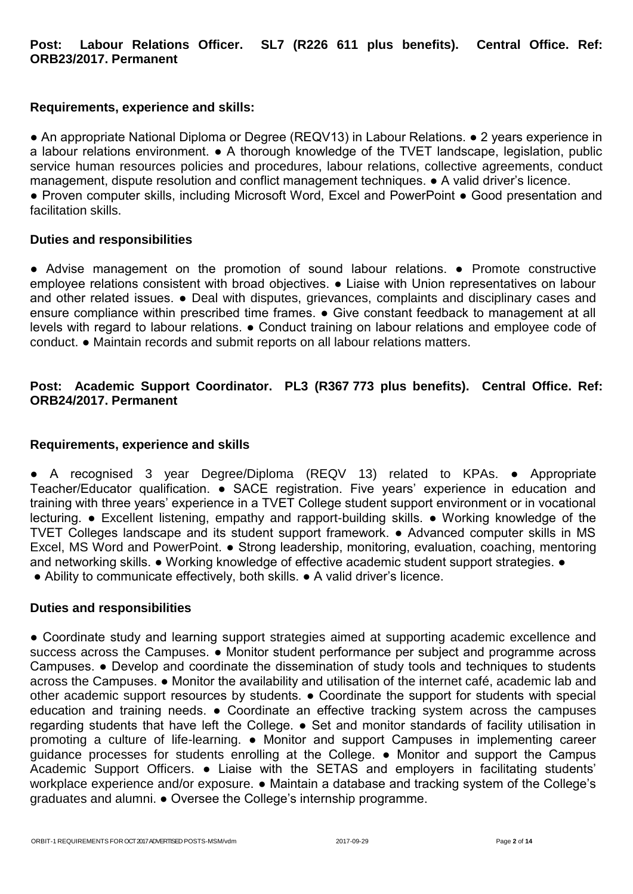# **Post: Labour Relations Officer. SL7 (R226 611 plus benefits). Central Office. Ref: ORB23/2017. Permanent**

## **Requirements, experience and skills:**

■ An appropriate National Diploma or Degree (REQV13) in Labour Relations. ● 2 years experience in a labour relations environment. ● A thorough knowledge of the TVET landscape, legislation, public service human resources policies and procedures, labour relations, collective agreements, conduct management, dispute resolution and conflict management techniques. ● A valid driver's licence.

● Proven computer skills, including Microsoft Word, Excel and PowerPoint ● Good presentation and facilitation skills.

## **Duties and responsibilities**

• Advise management on the promotion of sound labour relations. • Promote constructive employee relations consistent with broad objectives. ● Liaise with Union representatives on labour and other related issues. ● Deal with disputes, grievances, complaints and disciplinary cases and ensure compliance within prescribed time frames. • Give constant feedback to management at all levels with regard to labour relations. ● Conduct training on labour relations and employee code of conduct. ● Maintain records and submit reports on all labour relations matters.

# **Post: Academic Support Coordinator. PL3 (R367 773 plus benefits). Central Office. Ref: ORB24/2017. Permanent**

## **Requirements, experience and skills**

● A recognised 3 year Degree/Diploma (REQV 13) related to KPAs. ● Appropriate Teacher/Educator qualification. • SACE registration. Five years' experience in education and training with three years' experience in a TVET College student support environment or in vocational lecturing. ● Excellent listening, empathy and rapport-building skills. ● Working knowledge of the TVET Colleges landscape and its student support framework. ● Advanced computer skills in MS Excel, MS Word and PowerPoint. ● Strong leadership, monitoring, evaluation, coaching, mentoring and networking skills. • Working knowledge of effective academic student support strategies. •

● Ability to communicate effectively, both skills. ● A valid driver's licence.

## **Duties and responsibilities**

● Coordinate study and learning support strategies aimed at supporting academic excellence and success across the Campuses. • Monitor student performance per subject and programme across Campuses. ● Develop and coordinate the dissemination of study tools and techniques to students across the Campuses. ● Monitor the availability and utilisation of the internet café, academic lab and other academic support resources by students. ● Coordinate the support for students with special education and training needs. ● Coordinate an effective tracking system across the campuses regarding students that have left the College. ● Set and monitor standards of facility utilisation in promoting a culture of life-learning. ● Monitor and support Campuses in implementing career guidance processes for students enrolling at the College. ● Monitor and support the Campus Academic Support Officers. ● Liaise with the SETAS and employers in facilitating students' workplace experience and/or exposure. ● Maintain a database and tracking system of the College's graduates and alumni. ● Oversee the College's internship programme.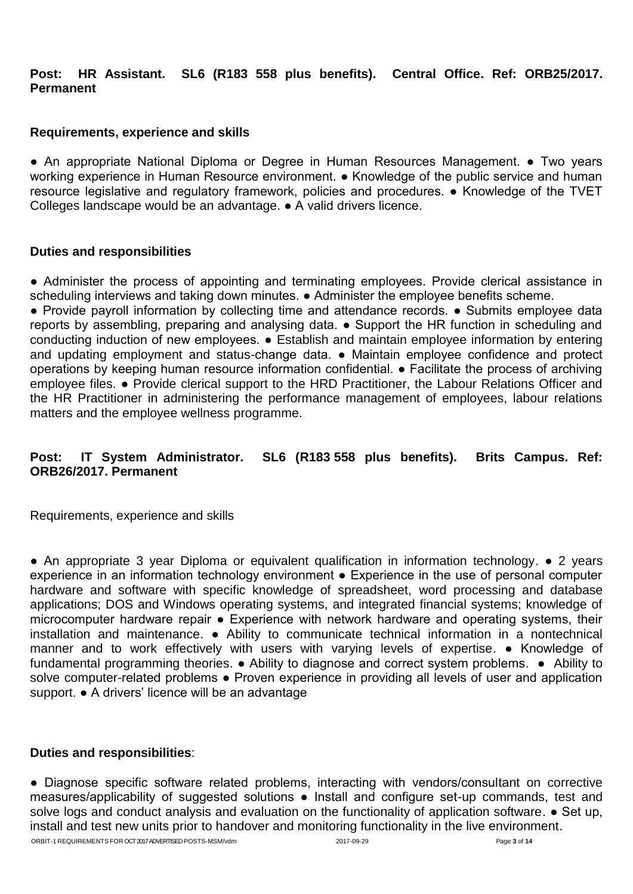**Post: HR Assistant. SL6 (R183 558 plus benefits). Central Office. Ref: ORB25/2017. Permanent**

# **Requirements, experience and skills**

● An appropriate National Diploma or Degree in Human Resources Management. ● Two years working experience in Human Resource environment. • Knowledge of the public service and human resource legislative and regulatory framework, policies and procedures. ● Knowledge of the TVET Colleges landscape would be an advantage. ● A valid drivers licence.

## **Duties and responsibilities**

● Administer the process of appointing and terminating employees. Provide clerical assistance in scheduling interviews and taking down minutes. • Administer the employee benefits scheme.

● Provide payroll information by collecting time and attendance records. ● Submits employee data reports by assembling, preparing and analysing data. ● Support the HR function in scheduling and conducting induction of new employees. ● Establish and maintain employee information by entering and updating employment and status-change data. ● Maintain employee confidence and protect operations by keeping human resource information confidential. ● Facilitate the process of archiving employee files. • Provide clerical support to the HRD Practitioner, the Labour Relations Officer and the HR Practitioner in administering the performance management of employees, labour relations matters and the employee wellness programme.

# **Post: IT System Administrator. SL6 (R183 558 plus benefits). Brits Campus. Ref: ORB26/2017. Permanent**

Requirements, experience and skills

● An appropriate 3 year Diploma or equivalent qualification in information technology. ● 2 years experience in an information technology environment ● Experience in the use of personal computer hardware and software with specific knowledge of spreadsheet, word processing and database applications; DOS and Windows operating systems, and integrated financial systems; knowledge of microcomputer hardware repair ● Experience with network hardware and operating systems, their installation and maintenance. ● Ability to communicate technical information in a nontechnical manner and to work effectively with users with varying levels of expertise. ● Knowledge of fundamental programming theories. ● Ability to diagnose and correct system problems. ● Ability to solve computer-related problems • Proven experience in providing all levels of user and application support. ● A drivers' licence will be an advantage

## **Duties and responsibilities**:

● Diagnose specific software related problems, interacting with vendors/consultant on corrective measures/applicability of suggested solutions ● Install and configure set-up commands, test and solve logs and conduct analysis and evaluation on the functionality of application software. • Set up, install and test new units prior to handover and monitoring functionality in the live environment.

ORBIT-1 REQUIREMENTS FOR OCT2017ADVERTISED POSTS-MSM/vdm 2017-09-29 Page **3** of **14**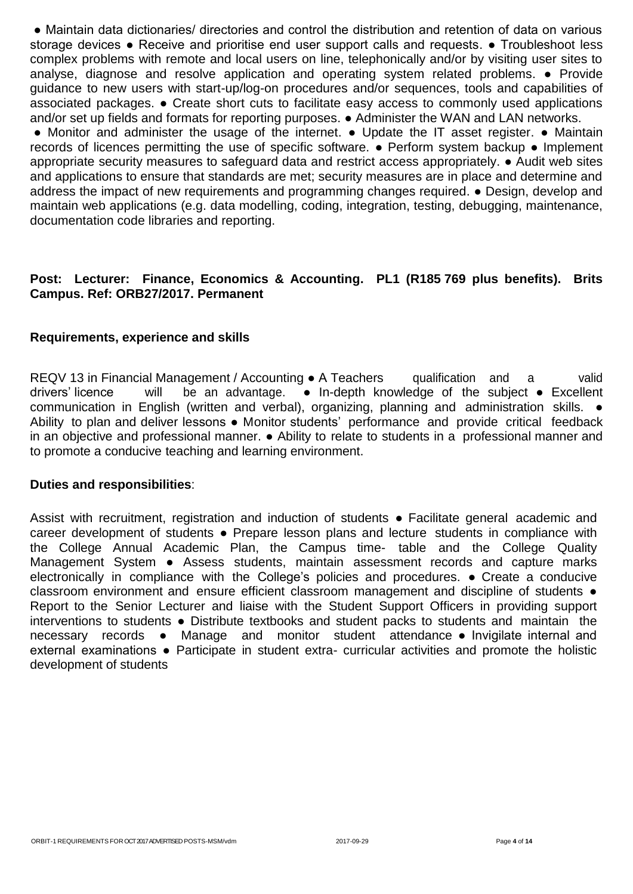● Maintain data dictionaries/ directories and control the distribution and retention of data on various storage devices • Receive and prioritise end user support calls and requests. • Troubleshoot less complex problems with remote and local users on line, telephonically and/or by visiting user sites to analyse, diagnose and resolve application and operating system related problems. ● Provide guidance to new users with start-up/log-on procedures and/or sequences, tools and capabilities of associated packages. ● Create short cuts to facilitate easy access to commonly used applications and/or set up fields and formats for reporting purposes. ● Administer the WAN and LAN networks.

● Monitor and administer the usage of the internet. ● Update the IT asset register. ● Maintain records of licences permitting the use of specific software. ● Perform system backup ● Implement appropriate security measures to safeguard data and restrict access appropriately. ● Audit web sites and applications to ensure that standards are met; security measures are in place and determine and address the impact of new requirements and programming changes required. ● Design, develop and maintain web applications (e.g. data modelling, coding, integration, testing, debugging, maintenance, documentation code libraries and reporting.

# **Post: Lecturer: Finance, Economics & Accounting. PL1 (R185 769 plus benefits). Brits Campus. Ref: ORB27/2017. Permanent**

## **Requirements, experience and skills**

REQV 13 in Financial Management / Accounting ● A Teachers qualification and a valid drivers' licence will be an advantage. ● In-depth knowledge of the subject ● Excellent communication in English (written and verbal), organizing, planning and administration skills. ● Ability to plan and deliver lessons ● Monitor students' performance and provide critical feedback in an objective and professional manner. ● Ability to relate to students in a professional manner and to promote a conducive teaching and learning environment.

## **Duties and responsibilities**:

Assist with recruitment, registration and induction of students • Facilitate general academic and career development of students ● Prepare lesson plans and lecture students in compliance with the College Annual Academic Plan, the Campus time- table and the College Quality Management System • Assess students, maintain assessment records and capture marks electronically in compliance with the College's policies and procedures. ● Create a conducive classroom environment and ensure efficient classroom management and discipline of students  $\bullet$ Report to the Senior Lecturer and liaise with the Student Support Officers in providing support interventions to students ● Distribute textbooks and student packs to students and maintain the necessary records ● Manage and monitor student attendance ● Invigilate internal and external examinations • Participate in student extra- curricular activities and promote the holistic development of students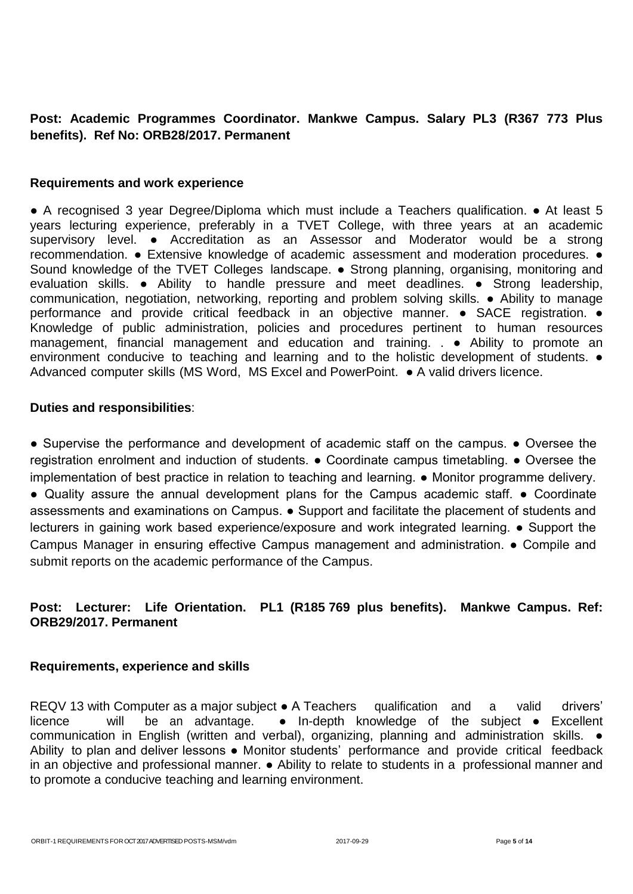# **Post: Academic Programmes Coordinator. Mankwe Campus. Salary PL3 (R367 773 Plus benefits). Ref No: ORB28/2017. Permanent**

## **Requirements and work experience**

● A recognised 3 year Degree/Diploma which must include a Teachers qualification. ● At least 5 years lecturing experience, preferably in a TVET College, with three years at an academic supervisory level. • Accreditation as an Assessor and Moderator would be a strong recommendation. ● Extensive knowledge of academic assessment and moderation procedures. ● Sound knowledge of the TVET Colleges landscape. ● Strong planning, organising, monitoring and evaluation skills. ● Ability to handle pressure and meet deadlines. ● Strong leadership, communication, negotiation, networking, reporting and problem solving skills. ● Ability to manage performance and provide critical feedback in an objective manner. • SACE registration. • Knowledge of public administration, policies and procedures pertinent to human resources management, financial management and education and training. . ● Ability to promote an environment conducive to teaching and learning and to the holistic development of students.  $\bullet$ Advanced computer skills (MS Word, MS Excel and PowerPoint. ● A valid drivers licence.

## **Duties and responsibilities**:

● Supervise the performance and development of academic staff on the campus. ● Oversee the registration enrolment and induction of students. ● Coordinate campus timetabling. ● Oversee the implementation of best practice in relation to teaching and learning. ● Monitor programme delivery. ● Quality assure the annual development plans for the Campus academic staff. ● Coordinate assessments and examinations on Campus. ● Support and facilitate the placement of students and lecturers in gaining work based experience/exposure and work integrated learning. ● Support the Campus Manager in ensuring effective Campus management and administration. ● Compile and submit reports on the academic performance of the Campus.

# **Post: Lecturer: Life Orientation. PL1 (R185 769 plus benefits). Mankwe Campus. Ref: ORB29/2017. Permanent**

## **Requirements, experience and skills**

REQV 13 with Computer as a major subject ● A Teachers qualification and a valid drivers' licence will be an advantage. ● In-depth knowledge of the subject ● Excellent communication in English (written and verbal), organizing, planning and administration skills. ● Ability to plan and deliver lessons • Monitor students' performance and provide critical feedback in an objective and professional manner. ● Ability to relate to students in a professional manner and to promote a conducive teaching and learning environment.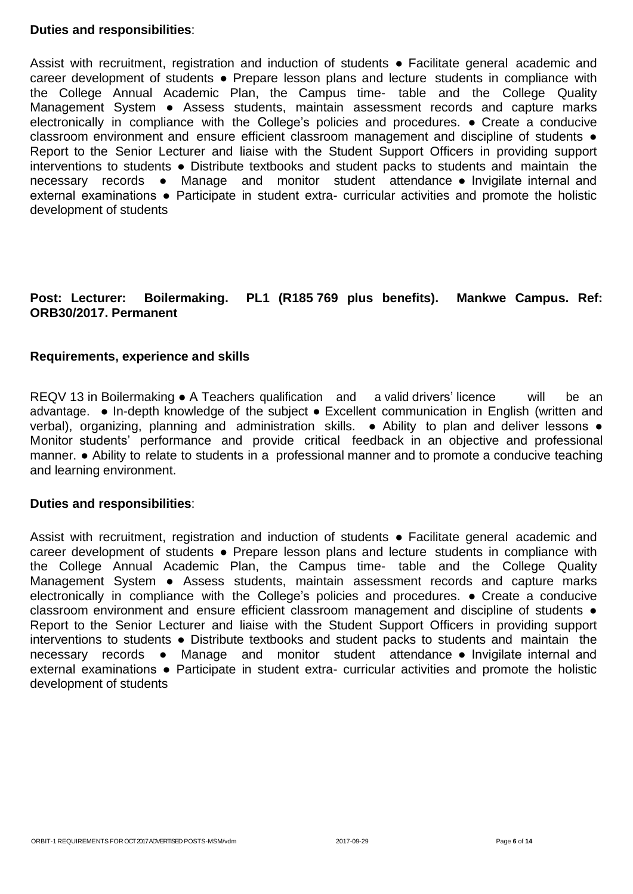## **Duties and responsibilities**:

Assist with recruitment, registration and induction of students • Facilitate general academic and career development of students ● Prepare lesson plans and lecture students in compliance with the College Annual Academic Plan, the Campus time- table and the College Quality Management System • Assess students, maintain assessment records and capture marks electronically in compliance with the College's policies and procedures. ● Create a conducive classroom environment and ensure efficient classroom management and discipline of students  $\bullet$ Report to the Senior Lecturer and liaise with the Student Support Officers in providing support interventions to students ● Distribute textbooks and student packs to students and maintain the necessary records ● Manage and monitor student attendance ● Invigilate internal and external examinations • Participate in student extra- curricular activities and promote the holistic development of students

# **Post: Lecturer: Boilermaking. PL1 (R185 769 plus benefits). Mankwe Campus. Ref: ORB30/2017. Permanent**

## **Requirements, experience and skills**

REQV 13 in Boilermaking • A Teachers qualification and a valid drivers' licence will be an advantage. ● In-depth knowledge of the subject ● Excellent communication in English (written and verbal), organizing, planning and administration skills. • Ability to plan and deliver lessons • Monitor students' performance and provide critical feedback in an objective and professional manner. ● Ability to relate to students in a professional manner and to promote a conducive teaching and learning environment.

## **Duties and responsibilities**:

Assist with recruitment, registration and induction of students • Facilitate general academic and career development of students ● Prepare lesson plans and lecture students in compliance with the College Annual Academic Plan, the Campus time- table and the College Quality Management System • Assess students, maintain assessment records and capture marks electronically in compliance with the College's policies and procedures. ● Create a conducive classroom environment and ensure efficient classroom management and discipline of students  $\bullet$ Report to the Senior Lecturer and liaise with the Student Support Officers in providing support interventions to students ● Distribute textbooks and student packs to students and maintain the necessary records ● Manage and monitor student attendance ● Invigilate internal and external examinations • Participate in student extra- curricular activities and promote the holistic development of students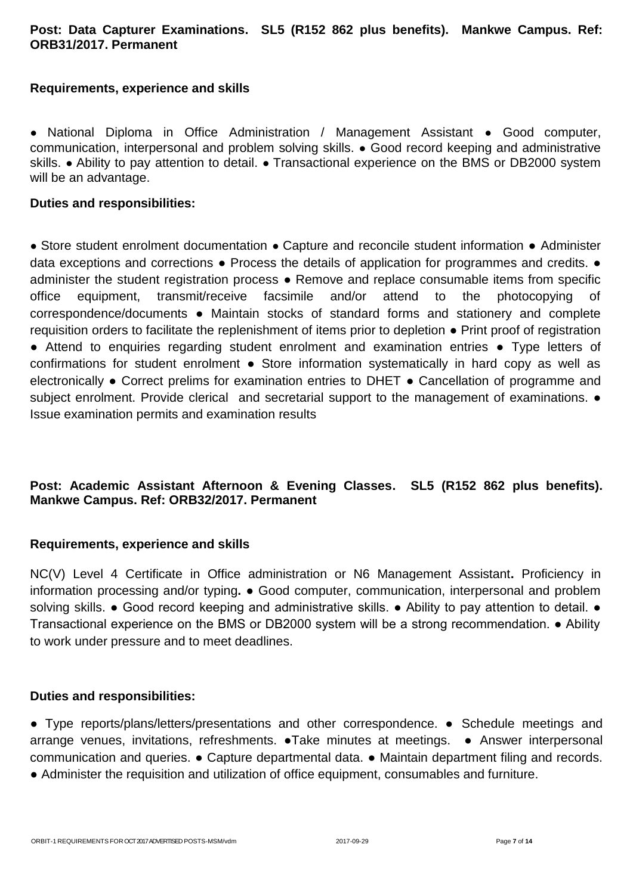# **Post: Data Capturer Examinations. SL5 (R152 862 plus benefits). Mankwe Campus. Ref: ORB31/2017. Permanent**

# **Requirements, experience and skills**

● National Diploma in Office Administration / Management Assistant ● Good computer, communication, interpersonal and problem solving skills. ● Good record keeping and administrative skills. • Ability to pay attention to detail. • Transactional experience on the BMS or DB2000 system will be an advantage.

## **Duties and responsibilities:**

● Store student enrolment documentation ● Capture and reconcile student information ● Administer data exceptions and corrections  $\bullet$  Process the details of application for programmes and credits.  $\bullet$ administer the student registration process ● Remove and replace consumable items from specific office equipment, transmit/receive facsimile and/or attend to the photocopying of correspondence/documents ● Maintain stocks of standard forms and stationery and complete requisition orders to facilitate the replenishment of items prior to depletion ● Print proof of registration ● Attend to enquiries regarding student enrolment and examination entries ● Type letters of confirmations for student enrolment ● Store information systematically in hard copy as well as electronically ● Correct prelims for examination entries to DHET ● Cancellation of programme and subject enrolment. Provide clerical and secretarial support to the management of examinations.  $\bullet$ Issue examination permits and examination results

# **Post: Academic Assistant Afternoon & Evening Classes. SL5 (R152 862 plus benefits). Mankwe Campus. Ref: ORB32/2017. Permanent**

# **Requirements, experience and skills**

NC(V) Level 4 Certificate in Office administration or N6 Management Assistant**.** Proficiency in information processing and/or typing**.** ● Good computer, communication, interpersonal and problem solving skills. • Good record keeping and administrative skills. • Ability to pay attention to detail. • Transactional experience on the BMS or DB2000 system will be a strong recommendation. ● Ability to work under pressure and to meet deadlines.

## **Duties and responsibilities:**

**●** Type reports/plans/letters/presentations and other correspondence. **●** Schedule meetings and arrange venues, invitations, refreshments. **●**Take minutes at meetings. **●** Answer interpersonal communication and queries. **●** Capture departmental data. **●** Maintain department filing and records.

**●** Administer the requisition and utilization of office equipment, consumables and furniture.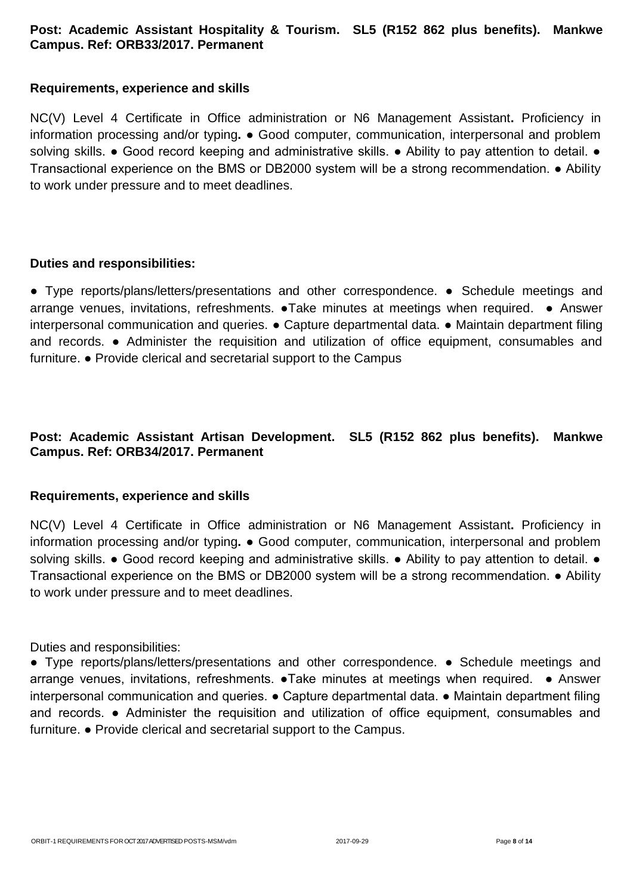# **Post: Academic Assistant Hospitality & Tourism. SL5 (R152 862 plus benefits). Mankwe Campus. Ref: ORB33/2017. Permanent**

# **Requirements, experience and skills**

NC(V) Level 4 Certificate in Office administration or N6 Management Assistant**.** Proficiency in information processing and/or typing**.** ● Good computer, communication, interpersonal and problem solving skills. • Good record keeping and administrative skills. • Ability to pay attention to detail. • Transactional experience on the BMS or DB2000 system will be a strong recommendation. ● Ability to work under pressure and to meet deadlines.

## **Duties and responsibilities:**

**●** Type reports/plans/letters/presentations and other correspondence. **●** Schedule meetings and arrange venues, invitations, refreshments. **●**Take minutes at meetings when required. **●** Answer interpersonal communication and queries. **●** Capture departmental data. **●** Maintain department filing and records. **●** Administer the requisition and utilization of office equipment, consumables and furniture. **●** Provide clerical and secretarial support to the Campus

# **Post: Academic Assistant Artisan Development. SL5 (R152 862 plus benefits). Mankwe Campus. Ref: ORB34/2017. Permanent**

# **Requirements, experience and skills**

NC(V) Level 4 Certificate in Office administration or N6 Management Assistant**.** Proficiency in information processing and/or typing**.** ● Good computer, communication, interpersonal and problem solving skills. • Good record keeping and administrative skills. • Ability to pay attention to detail. • Transactional experience on the BMS or DB2000 system will be a strong recommendation. ● Ability to work under pressure and to meet deadlines.

Duties and responsibilities:

● Type reports/plans/letters/presentations and other correspondence. ● Schedule meetings and arrange venues, invitations, refreshments. ●Take minutes at meetings when required. ● Answer interpersonal communication and queries. ● Capture departmental data. ● Maintain department filing and records. ● Administer the requisition and utilization of office equipment, consumables and furniture. ● Provide clerical and secretarial support to the Campus.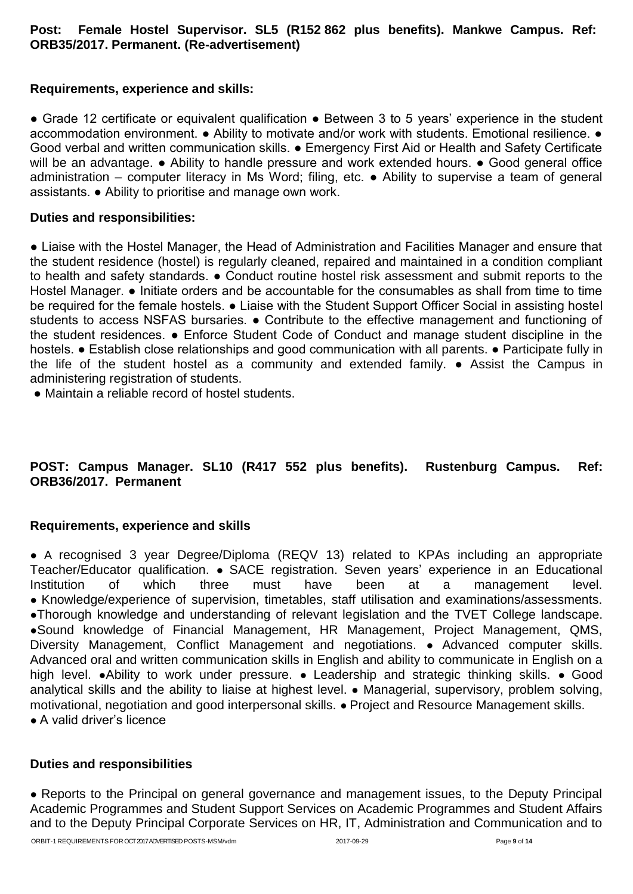# **Post: Female Hostel Supervisor. SL5 (R152 862 plus benefits). Mankwe Campus. Ref: ORB35/2017. Permanent. (Re-advertisement)**

# **Requirements, experience and skills:**

● Grade 12 certificate or equivalent qualification ● Between 3 to 5 years' experience in the student accommodation environment. ● Ability to motivate and/or work with students. Emotional resilience. ● Good verbal and written communication skills. ● Emergency First Aid or Health and Safety Certificate will be an advantage. ● Ability to handle pressure and work extended hours. ● Good general office administration – computer literacy in Ms Word; filing, etc. ● Ability to supervise a team of general assistants. ● Ability to prioritise and manage own work.

# **Duties and responsibilities:**

● Liaise with the Hostel Manager, the Head of Administration and Facilities Manager and ensure that the student residence (hostel) is regularly cleaned, repaired and maintained in a condition compliant to health and safety standards. ● Conduct routine hostel risk assessment and submit reports to the Hostel Manager. ● Initiate orders and be accountable for the consumables as shall from time to time be required for the female hostels.  $\bullet$  Liaise with the Student Support Officer Social in assisting hostel students to access NSFAS bursaries. ● Contribute to the effective management and functioning of the student residences. ● Enforce Student Code of Conduct and manage student discipline in the hostels. ● Establish close relationships and good communication with all parents. ● Participate fully in the life of the student hostel as a community and extended family. ● Assist the Campus in administering registration of students.

● Maintain a reliable record of hostel students.

# **POST: Campus Manager. SL10 (R417 552 plus benefits). Rustenburg Campus. Ref: ORB36/2017. Permanent**

# **Requirements, experience and skills**

● A recognised 3 year Degree/Diploma (REQV 13) related to KPAs including an appropriate Teacher/Educator qualification. ● SACE registration. Seven years' experience in an Educational Institution of which three must have been at a management level. ● Knowledge/experience of supervision, timetables, staff utilisation and examinations/assessments. ●Thorough knowledge and understanding of relevant legislation and the TVET College landscape. ●Sound knowledge of Financial Management, HR Management, Project Management, QMS, Diversity Management, Conflict Management and negotiations. • Advanced computer skills. Advanced oral and written communication skills in English and ability to communicate in English on a high level. ●Ability to work under pressure. ● Leadership and strategic thinking skills. ● Good analytical skills and the ability to liaise at highest level. • Managerial, supervisory, problem solving, motivational, negotiation and good interpersonal skills. ● Project and Resource Management skills.

● A valid driver's licence

# **Duties and responsibilities**

• Reports to the Principal on general governance and management issues, to the Deputy Principal Academic Programmes and Student Support Services on Academic Programmes and Student Affairs and to the Deputy Principal Corporate Services on HR, IT, Administration and Communication and to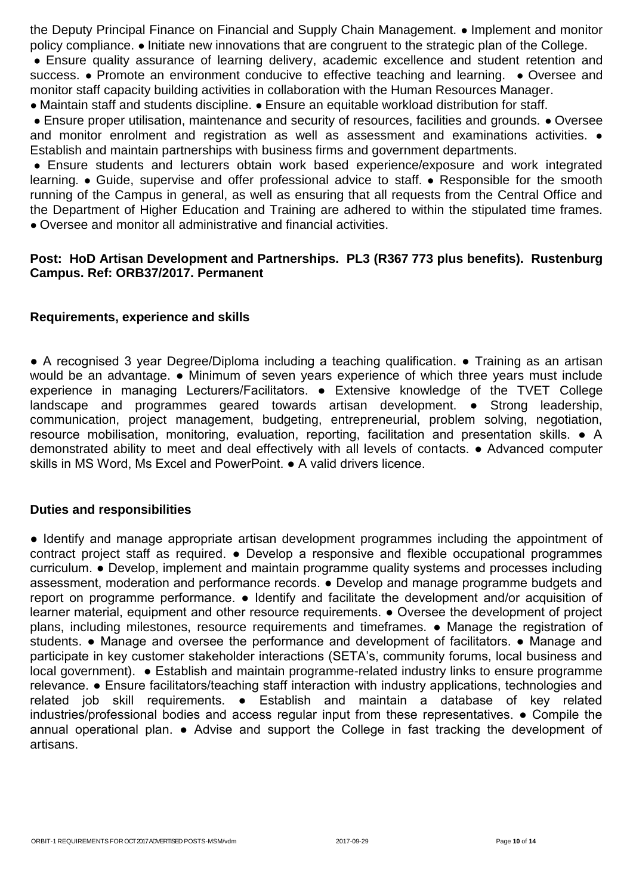the Deputy Principal Finance on Financial and Supply Chain Management. ● Implement and monitor policy compliance. ● Initiate new innovations that are congruent to the strategic plan of the College.

• Ensure quality assurance of learning delivery, academic excellence and student retention and success. • Promote an environment conducive to effective teaching and learning. • Oversee and monitor staff capacity building activities in collaboration with the Human Resources Manager.

● Maintain staff and students discipline. ● Ensure an equitable workload distribution for staff.

● Ensure proper utilisation, maintenance and security of resources, facilities and grounds. ● Oversee and monitor enrolment and registration as well as assessment and examinations activities.  $\bullet$ Establish and maintain partnerships with business firms and government departments.

● Ensure students and lecturers obtain work based experience/exposure and work integrated learning. ● Guide, supervise and offer professional advice to staff. ● Responsible for the smooth running of the Campus in general, as well as ensuring that all requests from the Central Office and the Department of Higher Education and Training are adhered to within the stipulated time frames. ● Oversee and monitor all administrative and financial activities.

# **Post: HoD Artisan Development and Partnerships. PL3 (R367 773 plus benefits). Rustenburg Campus. Ref: ORB37/2017. Permanent**

## **Requirements, experience and skills**

● A recognised 3 year Degree/Diploma including a teaching qualification. ● Training as an artisan would be an advantage. • Minimum of seven years experience of which three years must include experience in managing Lecturers/Facilitators. ● Extensive knowledge of the TVET College landscape and programmes geared towards artisan development. ● Strong leadership, communication, project management, budgeting, entrepreneurial, problem solving, negotiation, resource mobilisation, monitoring, evaluation, reporting, facilitation and presentation skills. ● A demonstrated ability to meet and deal effectively with all levels of contacts. ● Advanced computer skills in MS Word, Ms Excel and PowerPoint. ● A valid drivers licence.

## **Duties and responsibilities**

● Identify and manage appropriate artisan development programmes including the appointment of contract project staff as required. ● Develop a responsive and flexible occupational programmes curriculum. ● Develop, implement and maintain programme quality systems and processes including assessment, moderation and performance records. ● Develop and manage programme budgets and report on programme performance. • Identify and facilitate the development and/or acquisition of learner material, equipment and other resource requirements. ● Oversee the development of project plans, including milestones, resource requirements and timeframes. ● Manage the registration of students. ● Manage and oversee the performance and development of facilitators. ● Manage and participate in key customer stakeholder interactions (SETA's, community forums, local business and local government). ● Establish and maintain programme-related industry links to ensure programme relevance. ● Ensure facilitators/teaching staff interaction with industry applications, technologies and related job skill requirements. ● Establish and maintain a database of key related industries/professional bodies and access regular input from these representatives. ● Compile the annual operational plan. ● Advise and support the College in fast tracking the development of artisans.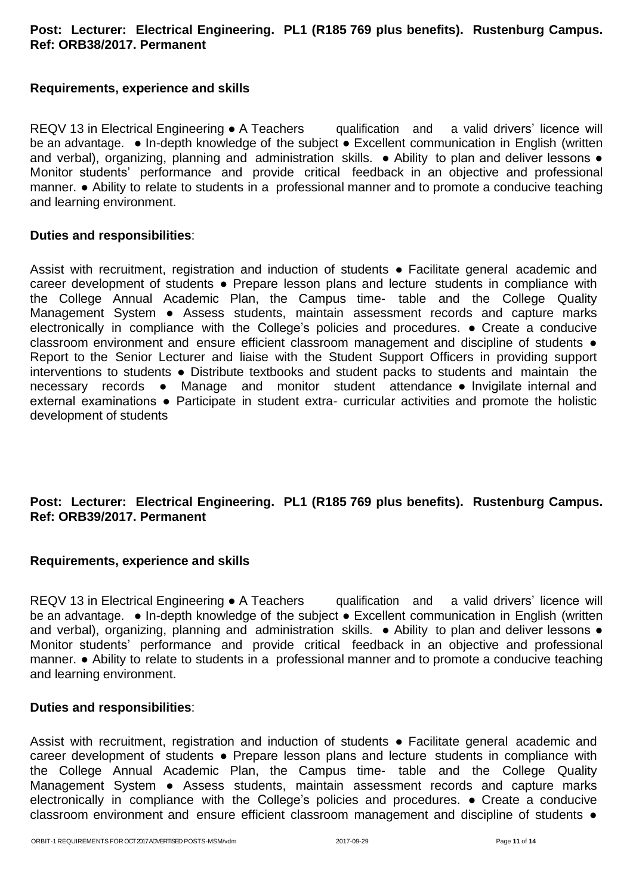# **Post: Lecturer: Electrical Engineering. PL1 (R185 769 plus benefits). Rustenburg Campus. Ref: ORB38/2017. Permanent**

# **Requirements, experience and skills**

REQV 13 in Electrical Engineering • A Teachers qualification and a valid drivers' licence will be an advantage. • In-depth knowledge of the subject • Excellent communication in English (written and verbal), organizing, planning and administration skills. • Ability to plan and deliver lessons • Monitor students' performance and provide critical feedback in an objective and professional manner. ● Ability to relate to students in a professional manner and to promote a conducive teaching and learning environment.

## **Duties and responsibilities**:

Assist with recruitment, registration and induction of students • Facilitate general academic and career development of students • Prepare lesson plans and lecture students in compliance with the College Annual Academic Plan, the Campus time- table and the College Quality Management System • Assess students, maintain assessment records and capture marks electronically in compliance with the College's policies and procedures. ● Create a conducive classroom environment and ensure efficient classroom management and discipline of students  $\bullet$ Report to the Senior Lecturer and liaise with the Student Support Officers in providing support interventions to students ● Distribute textbooks and student packs to students and maintain the necessary records ● Manage and monitor student attendance ● Invigilate internal and external examinations • Participate in student extra- curricular activities and promote the holistic development of students

# **Post: Lecturer: Electrical Engineering. PL1 (R185 769 plus benefits). Rustenburg Campus. Ref: ORB39/2017. Permanent**

## **Requirements, experience and skills**

REQV 13 in Electrical Engineering ● A Teachers qualification and a valid drivers' licence will be an advantage. • In-depth knowledge of the subject • Excellent communication in English (written and verbal), organizing, planning and administration skills. • Ability to plan and deliver lessons • Monitor students' performance and provide critical feedback in an objective and professional manner. ● Ability to relate to students in a professional manner and to promote a conducive teaching and learning environment.

## **Duties and responsibilities**:

Assist with recruitment, registration and induction of students • Facilitate general academic and career development of students ● Prepare lesson plans and lecture students in compliance with the College Annual Academic Plan, the Campus time- table and the College Quality Management System ● Assess students, maintain assessment records and capture marks electronically in compliance with the College's policies and procedures. ● Create a conducive classroom environment and ensure efficient classroom management and discipline of students  $\bullet$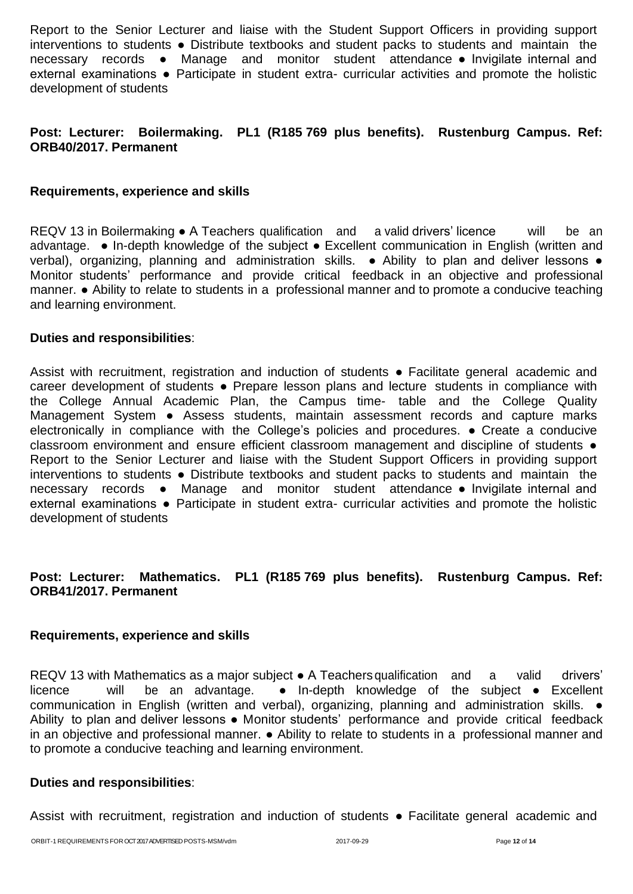Report to the Senior Lecturer and liaise with the Student Support Officers in providing support interventions to students ● Distribute textbooks and student packs to students and maintain the necessary records ● Manage and monitor student attendance ● Invigilate internal and external examinations ● Participate in student extra- curricular activities and promote the holistic development of students

# **Post: Lecturer: Boilermaking. PL1 (R185 769 plus benefits). Rustenburg Campus. Ref: ORB40/2017. Permanent**

## **Requirements, experience and skills**

REQV 13 in Boilermaking ● A Teachers qualification and a valid drivers' licence will be an advantage. ● In-depth knowledge of the subject ● Excellent communication in English (written and verbal), organizing, planning and administration skills. • Ability to plan and deliver lessons • Monitor students' performance and provide critical feedback in an objective and professional manner. ● Ability to relate to students in a professional manner and to promote a conducive teaching and learning environment.

## **Duties and responsibilities**:

Assist with recruitment, registration and induction of students • Facilitate general academic and career development of students ● Prepare lesson plans and lecture students in compliance with the College Annual Academic Plan, the Campus time- table and the College Quality Management System ● Assess students, maintain assessment records and capture marks electronically in compliance with the College's policies and procedures. ● Create a conducive classroom environment and ensure efficient classroom management and discipline of students ● Report to the Senior Lecturer and liaise with the Student Support Officers in providing support interventions to students ● Distribute textbooks and student packs to students and maintain the necessary records ● Manage and monitor student attendance ● Invigilate internal and external examinations • Participate in student extra- curricular activities and promote the holistic development of students

# **Post: Lecturer: Mathematics. PL1 (R185 769 plus benefits). Rustenburg Campus. Ref: ORB41/2017. Permanent**

## **Requirements, experience and skills**

REQV 13 with Mathematics as a major subject • A Teachers qualification and a valid drivers' licence will be an advantage. ● In-depth knowledge of the subject ● Excellent communication in English (written and verbal), organizing, planning and administration skills. ● Ability to plan and deliver lessons ● Monitor students' performance and provide critical feedback in an objective and professional manner. ● Ability to relate to students in a professional manner and to promote a conducive teaching and learning environment.

## **Duties and responsibilities**:

Assist with recruitment, registration and induction of students • Facilitate general academic and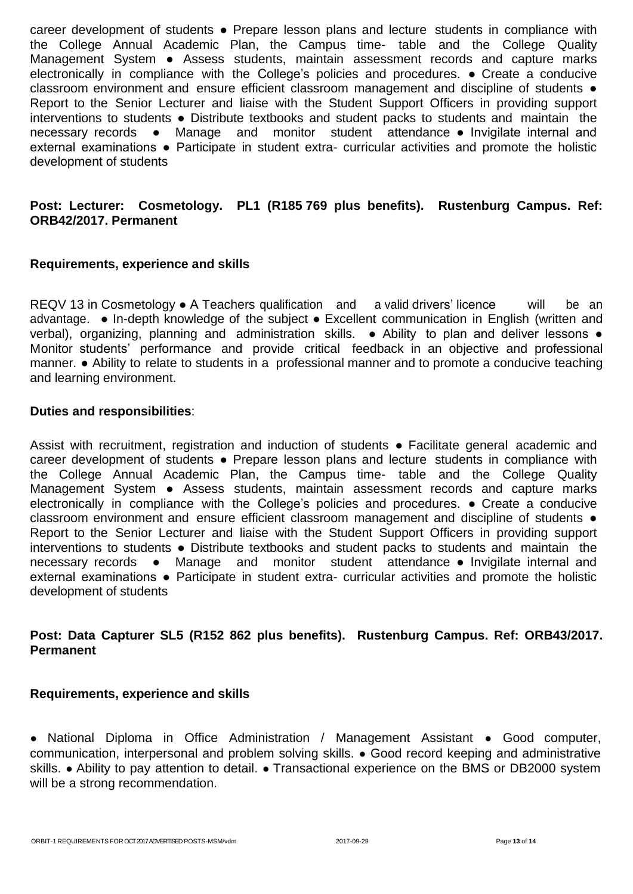career development of students ● Prepare lesson plans and lecture students in compliance with the College Annual Academic Plan, the Campus time- table and the College Quality Management System • Assess students, maintain assessment records and capture marks electronically in compliance with the College's policies and procedures. ● Create a conducive classroom environment and ensure efficient classroom management and discipline of students ● Report to the Senior Lecturer and liaise with the Student Support Officers in providing support interventions to students ● Distribute textbooks and student packs to students and maintain the necessary records ● Manage and monitor student attendance ● Invigilate internal and external examinations • Participate in student extra- curricular activities and promote the holistic development of students

# **Post: Lecturer: Cosmetology. PL1 (R185 769 plus benefits). Rustenburg Campus. Ref: ORB42/2017. Permanent**

# **Requirements, experience and skills**

REQV 13 in Cosmetology ● A Teachers qualification and a valid drivers' licence will be an advantage. ● In-depth knowledge of the subject ● Excellent communication in English (written and verbal), organizing, planning and administration skills. • Ability to plan and deliver lessons • Monitor students' performance and provide critical feedback in an objective and professional manner. ● Ability to relate to students in a professional manner and to promote a conducive teaching and learning environment.

## **Duties and responsibilities**:

Assist with recruitment, registration and induction of students • Facilitate general academic and career development of students ● Prepare lesson plans and lecture students in compliance with the College Annual Academic Plan, the Campus time- table and the College Quality Management System • Assess students, maintain assessment records and capture marks electronically in compliance with the College's policies and procedures. ● Create a conducive classroom environment and ensure efficient classroom management and discipline of students ● Report to the Senior Lecturer and liaise with the Student Support Officers in providing support interventions to students ● Distribute textbooks and student packs to students and maintain the necessary records ● Manage and monitor student attendance ● Invigilate internal and external examinations • Participate in student extra- curricular activities and promote the holistic development of students

# **Post: Data Capturer SL5 (R152 862 plus benefits). Rustenburg Campus. Ref: ORB43/2017. Permanent**

## **Requirements, experience and skills**

● National Diploma in Office Administration / Management Assistant ● Good computer, communication, interpersonal and problem solving skills. ● Good record keeping and administrative skills. • Ability to pay attention to detail. • Transactional experience on the BMS or DB2000 system will be a strong recommendation.